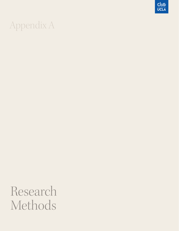## Appendix A

 $\frac{\mathbb{CE}}{\mathsf{UCLA}}$ 

## Research Methods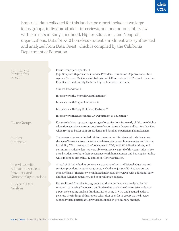

Empirical data collected for this landscape report includes two large focus groups, individual student interviews, and one-on-one interviews with partners in Early childhood, Higher Education, and Nonprofit organizations. Data for K-12 homeless student enrollment was synthesized and analyzed from Data Quest, which is compiled by the California Department of Education.

| Summary of<br>Participants<br>$(N=155)$                                                     | Focus Group participants: 119<br>[e.g., Nonprofit Organizations, Service Providers, Foundation Organizations, State<br>Agency Partners, McKinney-Vento Liaisons, K-12 school staff, K-12 school educators,<br>K-12 District and County Partners, Higher Education partners]<br>Student Interviews: 13<br>Interviews with Nonprofit Organizations: 4<br>Interviews with Higher Education: 8<br>Interviews with Early Childhood Partners: 7<br>Interviews with leaders in the CA Department of Education: 4 |
|---------------------------------------------------------------------------------------------|-----------------------------------------------------------------------------------------------------------------------------------------------------------------------------------------------------------------------------------------------------------------------------------------------------------------------------------------------------------------------------------------------------------------------------------------------------------------------------------------------------------|
| Focus Groups                                                                                | Key stakeholders representing a range of organizations from early childcare to higher<br>education agencies were convened to reflect on the challenges and barriers they face<br>when trying to better support students and families experiencing homelessness.                                                                                                                                                                                                                                           |
| Student<br>Interviews                                                                       | The research team conducted thirteen one-on-one interviews with students over<br>the age of 18 from across the state who have experienced homelessness and housing<br>instability. With the support of colleagues in CDE, local K-12 district offices, and<br>community stakeholders, we were able to interview a total of thirteen students. We<br>asked students to share their experiences with homelessness and housing instability<br>while in school, either in K-12 and/or in Higher Education.    |
| Interviews with<br><b>Educators</b> , Services<br>Providers, and<br>Nonprofit Organizations | A total of 19 individual interviews were conducted with additional educators and<br>services providers. In our focus groups, we had a majority of K-12 educators and<br>school officials. Therefore we conducted individual interviews with additional early<br>childhood, higher education, and nonprofit stakeholders.                                                                                                                                                                                  |
| <b>Empirical Data</b><br>Analysis                                                           | Data collected from the focus groups and the interviews were analyzed by the<br>research team using Dedoose, a qualitative data analysis software. We conducted<br>a two-cycle coding analysis (Saldaña, 2015), using In Vivo and Focused codes to<br>generate the findings of this report. Also, after each focus group, we held review<br>sessions where participants provided feedback on preliminary findings.                                                                                        |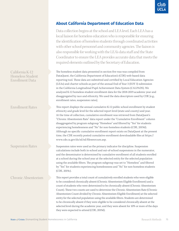## **About California Department of Education Data**

Data collection begins at the school and LEA level. Each LEA has a local liaison for homeless education who is responsible for ensuring the identification of homeless students through coordinated activities with other school personnel and community agencies. The liaison is also responsible for working with the LEA's data staff and the State Coordinator to ensure the LEA provides accurate data that meets the required elements outlined by the Secretary of Education.

The homeless student data presented in section five was was compiled from DataQuest, the California Department of Education's (CDE) web-based data reporting tool. These data are submitted and certified by Local Education Agencies (LEAs) and charter schools as part of the annual End of Year 3 (EOY 3) submission in the California Longitudinal Pupil Achievement Data System (CALPADS). We analyzed K-12 homeless student enrollment data for the 2018-2019 academic year and disaggregated by race and ethnicity. We used the data descriptors used by CDE [e.g., enrollment rates, suspension rates].

This report displays the annual cumulative K-12 public school enrollment by student ethnicity and grade level for the selected report level (state and county) and year. At the time of collection, cumulative enrollment was retrieved from DataQuest's "Chronic Absenteeism Rate" data report under the "Cumulative Enrollment" column disaggregated by program subgroup "Homeless" and filtered by "Yes" for students experiencing homelessness and "No" for non-homeless students (CDE, 2019d). Although no specific cumulative enrollment report exists on DataQuest at the present time, the CDE recently posted cumulative enrollment downloadable files at https:// www.cde.ca.gov/ds/sd/sd/filesenrcum.asp.

Suspension Rates

Enrollment Rates

California K-12 Homeless Student Enrollment Data

## Chronic Absenteeism

Suspension rates were used as the primary indicator for discipline. Suspension calculations include both in-school and out-of-school suspensions in the numerator, and the denominator is determined by cumulative enrollment of all students enrolled at a school during the school year at the selected entity for the selected population using the available filters. The program subgroup was set to "Homeless" and filtered by "Yes" for students experiencing homelessness and "No" for non-homeless students (CDE, 2019c).

This report provides a total count of cumulatively enrolled students who were eligible to be considered chronically absent (Chronic Absenteeism Eligible Enrollment) and a count of students who were determined to be chronically absent (Chronic Absenteeism Count). These two counts are used to determine the Chronic Absenteeism Rate (Chronic Absenteeism Count divided by Chronic Absenteeism Eligible Enrollment) at the selected entity for the selected population using the available filters. Students are determined to be chronically absent if they were eligible to be considered chronically absent at the selected level during the academic year, and they were absent for 10% or more of the days they were expected to attend (CDE, 2019d).